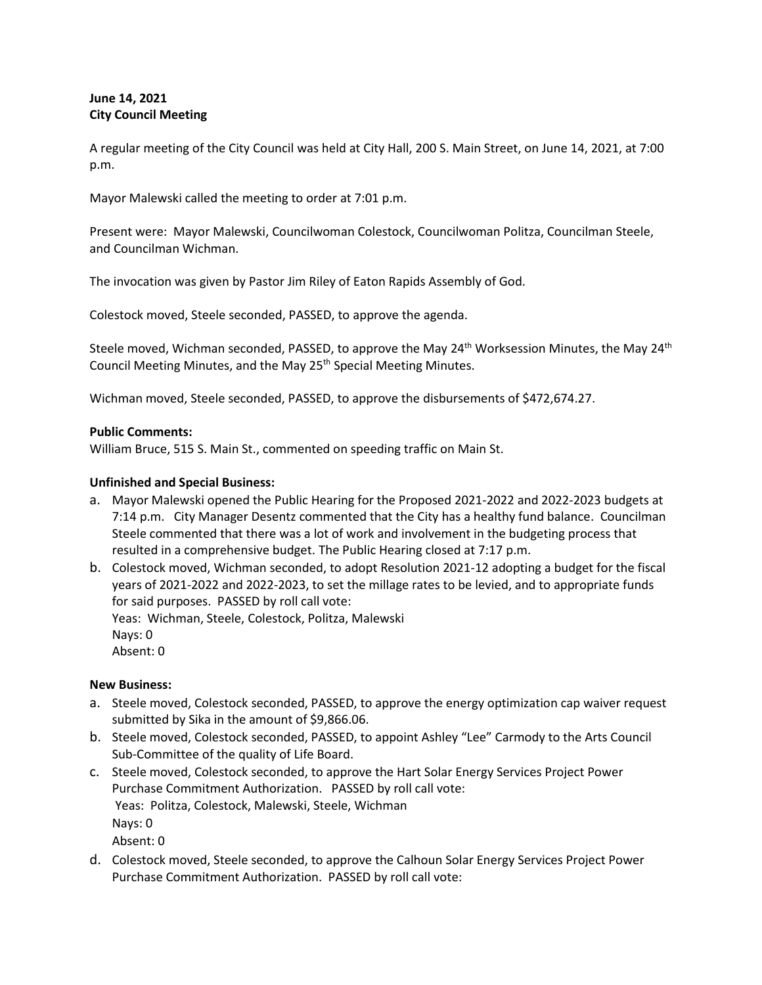# **June 14, 2021 City Council Meeting**

A regular meeting of the City Council was held at City Hall, 200 S. Main Street, on June 14, 2021, at 7:00 p.m.

Mayor Malewski called the meeting to order at 7:01 p.m.

Present were: Mayor Malewski, Councilwoman Colestock, Councilwoman Politza, Councilman Steele, and Councilman Wichman.

The invocation was given by Pastor Jim Riley of Eaton Rapids Assembly of God.

Colestock moved, Steele seconded, PASSED, to approve the agenda.

Steele moved, Wichman seconded, PASSED, to approve the May 24<sup>th</sup> Worksession Minutes, the May 24<sup>th</sup> Council Meeting Minutes, and the May 25<sup>th</sup> Special Meeting Minutes.

Wichman moved, Steele seconded, PASSED, to approve the disbursements of \$472,674.27.

## **Public Comments:**

William Bruce, 515 S. Main St., commented on speeding traffic on Main St.

## **Unfinished and Special Business:**

- a. Mayor Malewski opened the Public Hearing for the Proposed 2021-2022 and 2022-2023 budgets at 7:14 p.m. City Manager Desentz commented that the City has a healthy fund balance. Councilman Steele commented that there was a lot of work and involvement in the budgeting process that resulted in a comprehensive budget. The Public Hearing closed at 7:17 p.m.
- b. Colestock moved, Wichman seconded, to adopt Resolution 2021-12 adopting a budget for the fiscal years of 2021-2022 and 2022-2023, to set the millage rates to be levied, and to appropriate funds for said purposes. PASSED by roll call vote: Yeas: Wichman, Steele, Colestock, Politza, Malewski Nays: 0 Absent: 0

#### **New Business:**

- a. Steele moved, Colestock seconded, PASSED, to approve the energy optimization cap waiver request submitted by Sika in the amount of \$9,866.06.
- b. Steele moved, Colestock seconded, PASSED, to appoint Ashley "Lee" Carmody to the Arts Council Sub-Committee of the quality of Life Board.
- c. Steele moved, Colestock seconded, to approve the Hart Solar Energy Services Project Power Purchase Commitment Authorization. PASSED by roll call vote: Yeas: Politza, Colestock, Malewski, Steele, Wichman Nays: 0 Absent: 0
- d. Colestock moved, Steele seconded, to approve the Calhoun Solar Energy Services Project Power Purchase Commitment Authorization. PASSED by roll call vote: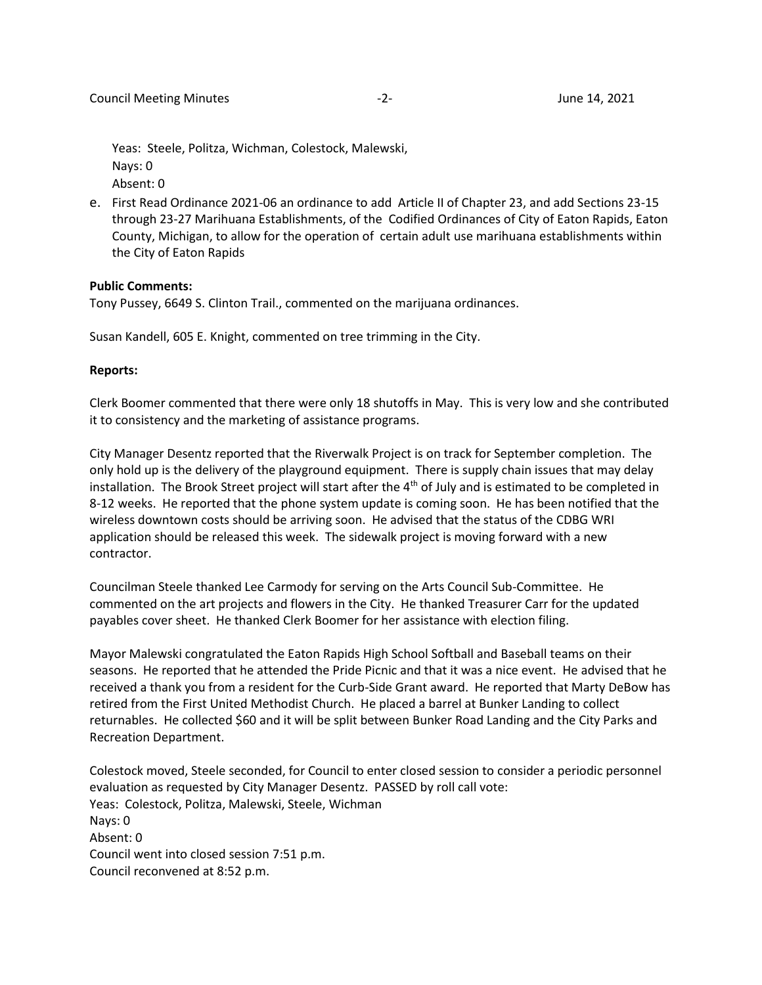Yeas: Steele, Politza, Wichman, Colestock, Malewski, Nays: 0 Absent: 0

e. First Read Ordinance 2021-06 an ordinance to add Article II of Chapter 23, and add Sections 23-15 through 23-27 Marihuana Establishments, of the Codified Ordinances of City of Eaton Rapids, Eaton County, Michigan, to allow for the operation of certain adult use marihuana establishments within the City of Eaton Rapids

#### **Public Comments:**

Tony Pussey, 6649 S. Clinton Trail., commented on the marijuana ordinances.

Susan Kandell, 605 E. Knight, commented on tree trimming in the City.

#### **Reports:**

Clerk Boomer commented that there were only 18 shutoffs in May. This is very low and she contributed it to consistency and the marketing of assistance programs.

City Manager Desentz reported that the Riverwalk Project is on track for September completion. The only hold up is the delivery of the playground equipment. There is supply chain issues that may delay installation. The Brook Street project will start after the  $4<sup>th</sup>$  of July and is estimated to be completed in 8-12 weeks. He reported that the phone system update is coming soon. He has been notified that the wireless downtown costs should be arriving soon. He advised that the status of the CDBG WRI application should be released this week. The sidewalk project is moving forward with a new contractor.

Councilman Steele thanked Lee Carmody for serving on the Arts Council Sub-Committee. He commented on the art projects and flowers in the City. He thanked Treasurer Carr for the updated payables cover sheet. He thanked Clerk Boomer for her assistance with election filing.

Mayor Malewski congratulated the Eaton Rapids High School Softball and Baseball teams on their seasons. He reported that he attended the Pride Picnic and that it was a nice event. He advised that he received a thank you from a resident for the Curb-Side Grant award. He reported that Marty DeBow has retired from the First United Methodist Church. He placed a barrel at Bunker Landing to collect returnables. He collected \$60 and it will be split between Bunker Road Landing and the City Parks and Recreation Department.

Colestock moved, Steele seconded, for Council to enter closed session to consider a periodic personnel evaluation as requested by City Manager Desentz. PASSED by roll call vote: Yeas: Colestock, Politza, Malewski, Steele, Wichman Nays: 0 Absent: 0 Council went into closed session 7:51 p.m. Council reconvened at 8:52 p.m.